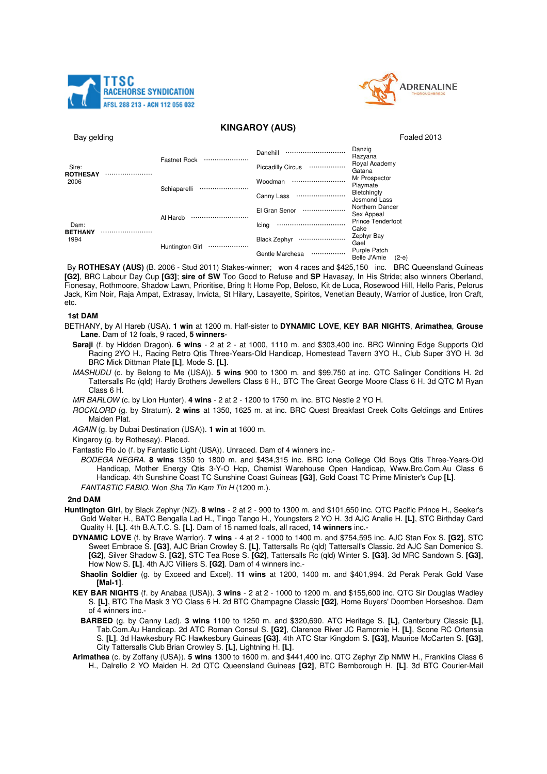



# **KINGAROY (AUS)**

Bay gelding Foaled 2013

| Sire:<br><b>ROTHESAY</b><br>2006 |  | <b>Fastnet Rock</b> | Danehill<br><br><b>Piccadilly Circus</b><br> | Danzig<br>Razyana<br>Royal Academy<br>Gatana |
|----------------------------------|--|---------------------|----------------------------------------------|----------------------------------------------|
|                                  |  | Schiaparelli        | Woodman<br>                                  | Mr Prospector<br>Playmate                    |
|                                  |  |                     | Canny Lass<br>                               | Bletchingly<br>Jesmond Lass                  |
| Dam:<br><b>BETHANY</b><br>1994   |  | Al Hareb            | El Gran Senor<br>                            | Northern Dancer<br>Sex Appeal                |
|                                  |  |                     | Icing<br>                                    | <b>Prince Tenderfoot</b><br>Cake             |
|                                  |  | Huntington Girl<br> | <b>Black Zephyr</b><br>                      | Zephyr Bay<br>Gael                           |
|                                  |  |                     | Gentle Marchesa<br>                          | Purple Patch<br>Belle J'Amie<br>$(2-e)$      |

By **ROTHESAY (AUS)** (B. 2006 - Stud 2011) Stakes-winner; won 4 races and \$425,150 inc. BRC Queensland Guineas **[G2]**, BRC Labour Day Cup **[G3]**; **sire of SW** Too Good to Refuse and **SP** Havasay, In His Stride; also winners Oberland, Fionesay, Rothmoore, Shadow Lawn, Prioritise, Bring It Home Pop, Beloso, Kit de Luca, Rosewood Hill, Hello Paris, Pelorus Jack, Kim Noir, Raja Ampat, Extrasay, Invicta, St Hilary, Lasayette, Spiritos, Venetian Beauty, Warrior of Justice, Iron Craft, etc.

#### **1st DAM**

BETHANY, by Al Hareb (USA). **1 win** at 1200 m. Half-sister to **DYNAMIC LOVE**, **KEY BAR NIGHTS**, **Arimathea**, **Grouse Lane**. Dam of 12 foals, 9 raced, **5 winners**-

**Saraji** (f. by Hidden Dragon). **6 wins** - 2 at 2 - at 1000, 1110 m. and \$303,400 inc. BRC Winning Edge Supports Qld Racing 2YO H., Racing Retro Qtis Three-Years-Old Handicap, Homestead Tavern 3YO H., Club Super 3YO H. 3d BRC Mick Dittman Plate **[L]**, Mode S. **[L]**.

MASHUDU (c. by Belong to Me (USA)). **5 wins** 900 to 1300 m. and \$99,750 at inc. QTC Salinger Conditions H. 2d Tattersalls Rc (qld) Hardy Brothers Jewellers Class 6 H., BTC The Great George Moore Class 6 H. 3d QTC M Ryan Class 6 H.

MR BARLOW (c. by Lion Hunter). **4 wins** - 2 at 2 - 1200 to 1750 m. inc. BTC Nestle 2 YO H.

ROCKLORD (g. by Stratum). **2 wins** at 1350, 1625 m. at inc. BRC Quest Breakfast Creek Colts Geldings and Entires Maiden Plat.

AGAIN (g. by Dubai Destination (USA)). **1 win** at 1600 m.

Kingaroy (g. by Rothesay). Placed.

Fantastic Flo Jo (f. by Fantastic Light (USA)). Unraced. Dam of 4 winners inc.-

BODEGA NEGRA. **8 wins** 1350 to 1800 m. and \$434,315 inc. BRC Iona College Old Boys Qtis Three-Years-Old Handicap, Mother Energy Qtis 3-Y-O Hcp, Chemist Warehouse Open Handicap, Www.Brc.Com.Au Class 6 Handicap. 4th Sunshine Coast TC Sunshine Coast Guineas **[G3]**, Gold Coast TC Prime Minister's Cup **[L]**. FANTASTIC FABIO. Won Sha Tin Kam Tin H (1200 m.).

### **2nd DAM**

- **Huntington Girl**, by Black Zephyr (NZ). **8 wins**  2 at 2 900 to 1300 m. and \$101,650 inc. QTC Pacific Prince H., Seeker's Gold Welter H., BATC Bengalla Lad H., Tingo Tango H., Youngsters 2 YO H. 3d AJC Analie H. **[L]**, STC Birthday Card Quality H. **[L]**. 4th B.A.T.C. S. **[L]**. Dam of 15 named foals, all raced, **14 winners** inc.-
	- **DYNAMIC LOVE** (f. by Brave Warrior). **7 wins**  4 at 2 1000 to 1400 m. and \$754,595 inc. AJC Stan Fox S. **[G2]**, STC Sweet Embrace S. **[G3]**, AJC Brian Crowley S. **[L]**, Tattersalls Rc (qld) Tattersall's Classic. 2d AJC San Domenico S. **[G2]**, Silver Shadow S. **[G2]**, STC Tea Rose S. **[G2]**, Tattersalls Rc (qld) Winter S. **[G3]**. 3d MRC Sandown S. **[G3]**, How Now S. **[L]**. 4th AJC Villiers S. **[G2]**. Dam of 4 winners inc.-
	- **Shaolin Soldier** (g. by Exceed and Excel). **11 wins** at 1200, 1400 m. and \$401,994. 2d Perak Perak Gold Vase **[Mal-1]**.
	- **KEY BAR NIGHTS** (f. by Anabaa (USA)). **3 wins**  2 at 2 1000 to 1200 m. and \$155,600 inc. QTC Sir Douglas Wadley S. **[L]**, BTC The Mask 3 YO Class 6 H. 2d BTC Champagne Classic **[G2]**, Home Buyers' Doomben Horseshoe. Dam of 4 winners inc.-
		- **BARBED** (g. by Canny Lad). **3 wins** 1100 to 1250 m. and \$320,690. ATC Heritage S. **[L]**, Canterbury Classic **[L]**, Tab.Com.Au Handicap. 2d ATC Roman Consul S. **[G2]**, Clarence River JC Ramornie H. **[L]**, Scone RC Ortensia S. **[L]**. 3d Hawkesbury RC Hawkesbury Guineas **[G3]**. 4th ATC Star Kingdom S. **[G3]**, Maurice McCarten S. **[G3]**, City Tattersalls Club Brian Crowley S. **[L]**, Lightning H. **[L]**.
	- **Arimathea** (c. by Zoffany (USA)). **5 wins** 1300 to 1600 m. and \$441,400 inc. QTC Zephyr Zip NMW H., Franklins Class 6 H., Dalrello 2 YO Maiden H. 2d QTC Queensland Guineas **[G2]**, BTC Bernborough H. **[L]**. 3d BTC Courier-Mail